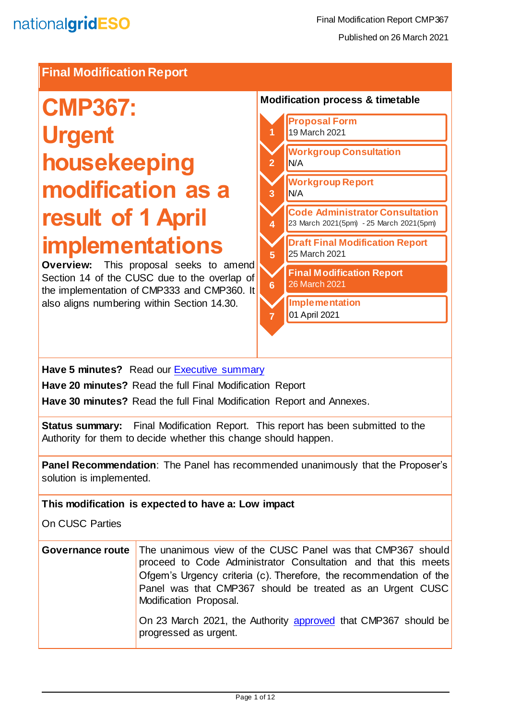#### **Final Modification Report**

# **CMP367: Urgent housekeeping modification as a result of 1 April implementations**

**Overview:** This proposal seeks to amend Section 14 of the CUSC due to the overlap of the implementation of CMP333 and CMP360. It also aligns numbering within Section 14.30.

#### **Modification process & timetable**



#### **Have 5 minutes?** Read our Executive summary

**Have 20 minutes?** Read the full Final Modification Report

**Have 30 minutes?** Read the full Final Modification Report and Annexes.

**Status summary:** Final Modification Report. This report has been submitted to the Authority for them to decide whether this change should happen.

**Panel Recommendation**: The Panel has recommended unanimously that the Proposer's solution is implemented.

**This modification is expected to have a: Low impact**

On CUSC Parties

| Governance route   The unanimous view of the CUSC Panel was that CMP367 should<br>proceed to Code Administrator Consultation and that this meets<br>Ofgem's Urgency criteria (c). Therefore, the recommendation of the<br>Panel was that CMP367 should be treated as an Urgent CUSC<br>Modification Proposal. |
|---------------------------------------------------------------------------------------------------------------------------------------------------------------------------------------------------------------------------------------------------------------------------------------------------------------|
| On 23 March 2021, the Authority approved that CMP367 should be<br>progressed as urgent.                                                                                                                                                                                                                       |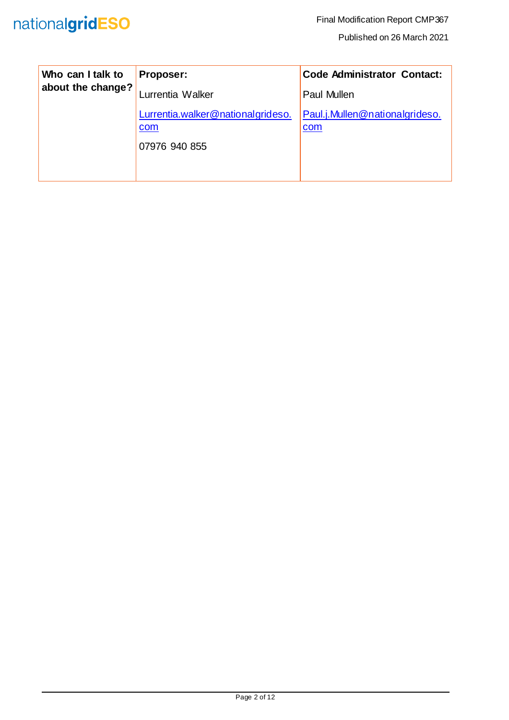| Who can I talk to<br>about the change? | Proposer:                                | <b>Code Administrator Contact:</b>    |
|----------------------------------------|------------------------------------------|---------------------------------------|
|                                        | Lurrentia Walker                         | <b>Paul Mullen</b>                    |
|                                        | Lurrentia.walker@nationalgrideso.<br>com | Paul.j.Mullen@nationalgrideso.<br>com |
|                                        | 07976 940 855                            |                                       |
|                                        |                                          |                                       |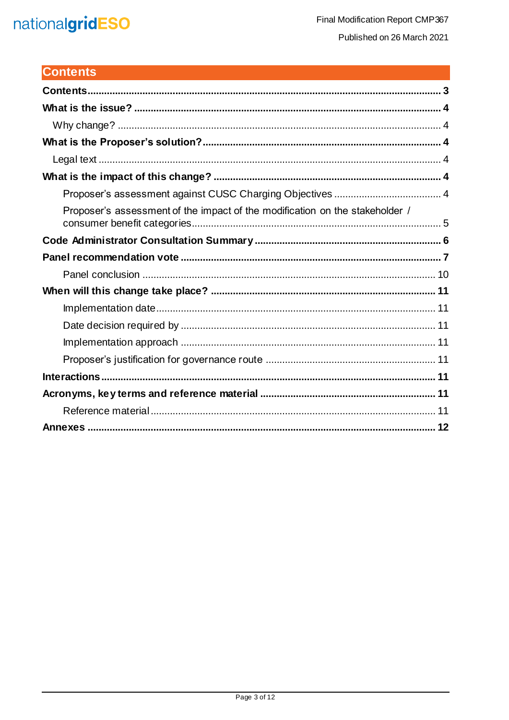## nationalgridESO

## <span id="page-2-0"></span>**Contents**

| Proposer's assessment of the impact of the modification on the stakeholder / |
|------------------------------------------------------------------------------|
|                                                                              |
|                                                                              |
|                                                                              |
|                                                                              |
|                                                                              |
|                                                                              |
|                                                                              |
|                                                                              |
|                                                                              |
|                                                                              |
|                                                                              |
|                                                                              |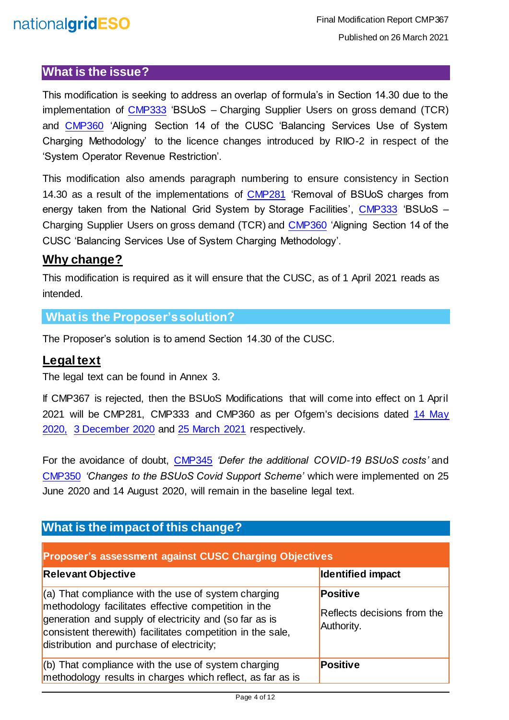## nationalgridESO

#### <span id="page-3-0"></span>**What is the issue?**

This modification is seeking to address an overlap of formula's in Section 14.30 due to the implementation of [CMP333](https://www.nationalgrideso.com/industry-information/codes/connection-and-use-system-code-cusc-old/modifications/cmp333-bsuos) 'BSUoS – Charging Supplier Users on gross demand (TCR) and [CMP360](https://www.nationalgrideso.com/industry-information/codes/connection-and-use-system-code-cusc-old/modifications/cmp360-aligning) 'Aligning Section 14 of the CUSC 'Balancing Services Use of System Charging Methodology' to the licence changes introduced by RIIO-2 in respect of the 'System Operator Revenue Restriction'.

This modification also amends paragraph numbering to ensure consistency in Section 14.30 as a result of the implementations of [CMP281](https://www.nationalgrideso.com/industry-information/codes/connection-and-use-system-code-cusc-old/modifications/cmp281-removal) 'Removal of BSUoS charges from energy taken from the National Grid System by Storage Facilities', [CMP333](https://www.nationalgrideso.com/industry-information/codes/connection-and-use-system-code-cusc-old/modifications/cmp333-bsuos) 'BSUoS – Charging Supplier Users on gross demand (TCR) and [CMP360](https://www.nationalgrideso.com/industry-information/codes/connection-and-use-system-code-cusc-old/modifications/cmp360-aligning) 'Aligning Section 14 of the CUSC 'Balancing Services Use of System Charging Methodology'.

#### <span id="page-3-1"></span>**Why change?**

This modification is required as it will ensure that the CUSC, as of 1 April 2021 reads as intended.

#### <span id="page-3-2"></span>**What is the Proposer's solution?**

The Proposer's solution is to amend Section 14.30 of the CUSC.

#### <span id="page-3-3"></span>**Legal text**

The legal text can be found in Annex 3.

If CMP367 is rejected, then the BSUoS Modifications that will come into effect on 1 April 2021 will be CMP281, CMP333 and CMP360 as per Ofgem's decisions dated [14 May](https://www.nationalgrideso.com/document/169146/download)  [2020,](https://www.nationalgrideso.com/document/169146/download) [3 December 2020](https://www.nationalgrideso.com/document/182286/download) and [25 March 2021](https://www.nationalgrideso.com/document/188862/download) respectively.

For the avoidance of doubt, [CMP345](https://www.nationalgrideso.com/industry-information/codes/connection-and-use-system-code-cusc-old/modifications/cmp345-defer) *'Defer the additional COVID-19 BSUoS costs'* and [CMP350](https://www.nationalgrideso.com/industry-information/codes/connection-and-use-system-code-cusc-old/modifications/cmp350-changes) *'Changes to the BSUoS Covid Support Scheme'* which were implemented on 25 June 2020 and 14 August 2020, will remain in the baseline legal text.

### <span id="page-3-4"></span>**What is the impact of this change?**

<span id="page-3-5"></span>

| <b>Proposer's assessment against CUSC Charging Objectives</b>                                                                                                                                                                                                                      |                                                       |  |  |  |  |
|------------------------------------------------------------------------------------------------------------------------------------------------------------------------------------------------------------------------------------------------------------------------------------|-------------------------------------------------------|--|--|--|--|
| <b>Relevant Objective</b>                                                                                                                                                                                                                                                          | <b>Identified impact</b>                              |  |  |  |  |
| $(a)$ That compliance with the use of system charging<br>methodology facilitates effective competition in the<br>generation and supply of electricity and (so far as is<br>consistent therewith) facilitates competition in the sale,<br>distribution and purchase of electricity; | Positive<br>Reflects decisions from the<br>Authority. |  |  |  |  |
| (b) That compliance with the use of system charging<br>methodology results in charges which reflect, as far as is                                                                                                                                                                  | <b>Positive</b>                                       |  |  |  |  |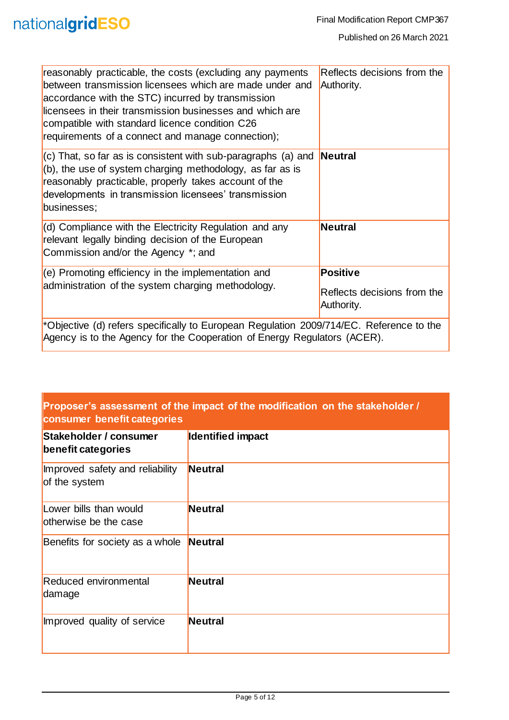| reasonably practicable, the costs (excluding any payments<br>between transmission licensees which are made under and<br>accordance with the STC) incurred by transmission<br>licensees in their transmission businesses and which are<br>compatible with standard licence condition C26<br>requirements of a connect and manage connection); | Reflects decisions from the<br>Authority. |
|----------------------------------------------------------------------------------------------------------------------------------------------------------------------------------------------------------------------------------------------------------------------------------------------------------------------------------------------|-------------------------------------------|
| $\vert$ (c) That, so far as is consistent with sub-paragraphs (a) and <b>Neutral</b><br>(b), the use of system charging methodology, as far as is<br>reasonably practicable, properly takes account of the<br>developments in transmission licensees' transmission<br>businesses;                                                            |                                           |
| (d) Compliance with the Electricity Regulation and any<br>relevant legally binding decision of the European<br>Commission and/or the Agency *; and                                                                                                                                                                                           | Neutral                                   |
| $(e)$ Promoting efficiency in the implementation and                                                                                                                                                                                                                                                                                         | Positive                                  |
| administration of the system charging methodology.                                                                                                                                                                                                                                                                                           | Reflects decisions from the<br>Authority. |
| *Objective (d) refers specifically to European Regulation 2009/714/EC. Reference to the<br>Agency is to the Agency for the Cooperation of Energy Regulators (ACER).                                                                                                                                                                          |                                           |

#### <span id="page-4-0"></span>**Proposer's assessment of the impact of the modification on the stakeholder / consumer benefit categories**

| Stakeholder / consumer<br>benefit categories     | Identified impact |
|--------------------------------------------------|-------------------|
| Improved safety and reliability<br>of the system | <b>Neutral</b>    |
| Lower bills than would<br>otherwise be the case  | <b>Neutral</b>    |
| Benefits for society as a whole                  | Neutral           |
| <b>Reduced environmental</b><br>damage           | <b>Neutral</b>    |
| Improved quality of service                      | <b>Neutral</b>    |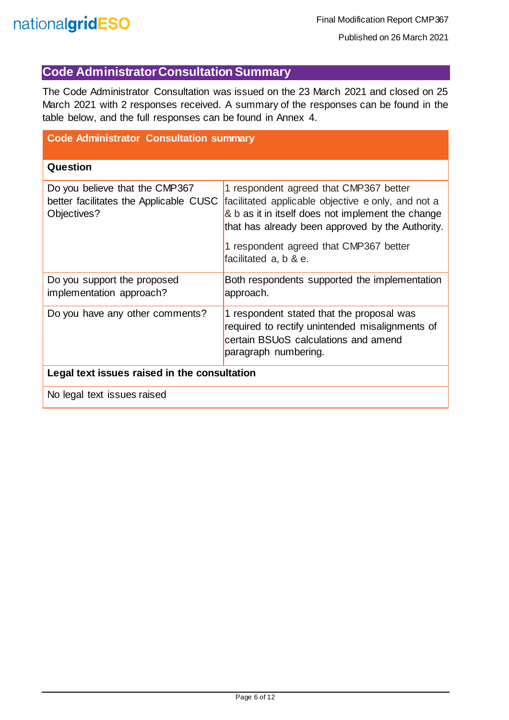### <span id="page-5-0"></span>**Code Administrator Consultation Summary**

The Code Administrator Consultation was issued on the 23 March 2021 and closed on 25 March 2021 with 2 responses received. A summary of the responses can be found in the table below, and the full responses can be found in Annex 4.

| <b>Code Administrator Consultation summary</b>                                          |                                                                                                                                                                                                                                                                          |  |  |  |  |
|-----------------------------------------------------------------------------------------|--------------------------------------------------------------------------------------------------------------------------------------------------------------------------------------------------------------------------------------------------------------------------|--|--|--|--|
| Question                                                                                |                                                                                                                                                                                                                                                                          |  |  |  |  |
| Do you believe that the CMP367<br>better facilitates the Applicable CUSC<br>Objectives? | 1 respondent agreed that CMP367 better<br>facilitated applicable objective e only, and not a<br>& b as it in itself does not implement the change<br>that has already been approved by the Authority.<br>1 respondent agreed that CMP367 better<br>facilitated a, b & e. |  |  |  |  |
| Do you support the proposed<br>implementation approach?                                 | Both respondents supported the implementation<br>approach.                                                                                                                                                                                                               |  |  |  |  |
| Do you have any other comments?                                                         | 1 respondent stated that the proposal was<br>required to rectify unintended misalignments of<br>certain BSUoS calculations and amend<br>paragraph numbering.                                                                                                             |  |  |  |  |
| Legal text issues raised in the consultation                                            |                                                                                                                                                                                                                                                                          |  |  |  |  |
| No legal text issues raised                                                             |                                                                                                                                                                                                                                                                          |  |  |  |  |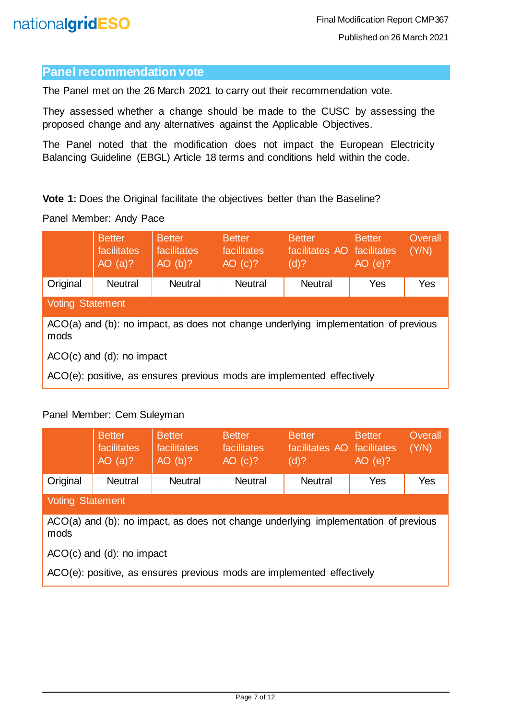#### <span id="page-6-0"></span>**Panel recommendation vote**

The Panel met on the 26 March 2021 to carry out their recommendation vote.

They assessed whether a change should be made to the CUSC by assessing the proposed change and any alternatives against the Applicable Objectives.

The Panel noted that the modification does not impact the European Electricity Balancing Guideline (EBGL) Article 18 terms and conditions held within the code.

**Vote 1:** Does the Original facilitate the objectives better than the Baseline?

#### Panel Member: Andy Pace

|                                                                                             | <b>Better</b><br>facilitates<br>AO $(a)?$                              | <b>Better</b><br>facilitates<br>$AO$ (b)? | <b>Better</b><br>facilitates<br>AO (c)? | <b>Better</b><br>facilitates AO facilitates<br>(d)? | <b>Better</b><br>$AO$ (e)? | Overall<br>(Y/N) |  |
|---------------------------------------------------------------------------------------------|------------------------------------------------------------------------|-------------------------------------------|-----------------------------------------|-----------------------------------------------------|----------------------------|------------------|--|
| Original                                                                                    | <b>Neutral</b>                                                         | <b>Neutral</b>                            | <b>Neutral</b>                          | <b>Neutral</b>                                      | Yes                        | Yes              |  |
| Voting Statement                                                                            |                                                                        |                                           |                                         |                                                     |                            |                  |  |
| ACO(a) and (b): no impact, as does not change underlying implementation of previous<br>mods |                                                                        |                                           |                                         |                                                     |                            |                  |  |
| $ACO(c)$ and (d): no impact                                                                 |                                                                        |                                           |                                         |                                                     |                            |                  |  |
|                                                                                             | ACO(e): positive, as ensures previous mods are implemented effectively |                                           |                                         |                                                     |                            |                  |  |

#### Panel Member: Cem Suleyman

|                                                                                             | <b>Better</b><br>facilitates<br>AO $(a)?$ | <b>Better</b><br>facilitates<br>$AO$ (b)? | <b>Better</b><br>facilitates<br>AO (c)? | <b>Better</b><br>facilitates AO facilitates<br>$(d)$ ? | <b>Better</b><br>AO(e)? | Overall<br>(Y/N) |  |  |
|---------------------------------------------------------------------------------------------|-------------------------------------------|-------------------------------------------|-----------------------------------------|--------------------------------------------------------|-------------------------|------------------|--|--|
| Original                                                                                    | <b>Neutral</b>                            | <b>Neutral</b>                            | <b>Neutral</b>                          | <b>Neutral</b>                                         | Yes                     | Yes              |  |  |
|                                                                                             | <b>Voting Statement</b>                   |                                           |                                         |                                                        |                         |                  |  |  |
| ACO(a) and (b): no impact, as does not change underlying implementation of previous<br>mods |                                           |                                           |                                         |                                                        |                         |                  |  |  |
| $ACO(c)$ and (d): no impact                                                                 |                                           |                                           |                                         |                                                        |                         |                  |  |  |
| ACO(e): positive, as ensures previous mods are implemented effectively                      |                                           |                                           |                                         |                                                        |                         |                  |  |  |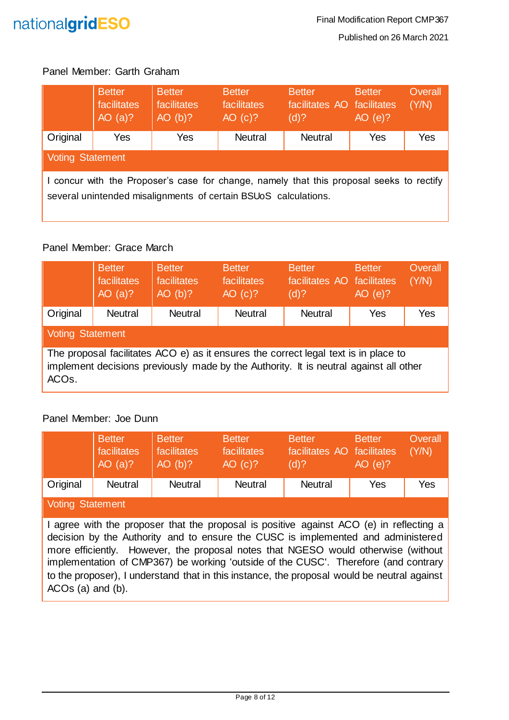

#### Panel Member: Garth Graham

|                                                                                                                                                             | <b>Better</b><br>facilitates<br>AO $(a)?$ | <b>Better</b><br>facilitates<br>AO(b)? | <b>Better</b><br>facilitates<br>AO (c)? | <b>Better</b><br>facilitates AO facilitates<br>(d)? | <b>Better</b><br>$AO$ (e)? | Overall<br>(Y/N) |  |
|-------------------------------------------------------------------------------------------------------------------------------------------------------------|-------------------------------------------|----------------------------------------|-----------------------------------------|-----------------------------------------------------|----------------------------|------------------|--|
| Original                                                                                                                                                    | Yes                                       | Yes                                    | <b>Neutral</b>                          | <b>Neutral</b>                                      | Yes                        | Yes              |  |
| Voting Statement                                                                                                                                            |                                           |                                        |                                         |                                                     |                            |                  |  |
| I concur with the Proposer's case for change, namely that this proposal seeks to rectify<br>several unintended misalignments of certain BSUoS calculations. |                                           |                                        |                                         |                                                     |                            |                  |  |

#### Panel Member: Grace March

|                                                                                                                                                                                                    | <b>Better</b><br>facilitates<br>AO $(a)?$ | <b>Better</b><br><b>facilitates</b><br>AO(b)? | <b>Better</b><br>facilitates<br>AO (c)? | <b>Better</b><br>facilitates AO facilitates<br>(d)? | <b>Better</b><br>AO(e)? | Overall<br>(Y/N) |
|----------------------------------------------------------------------------------------------------------------------------------------------------------------------------------------------------|-------------------------------------------|-----------------------------------------------|-----------------------------------------|-----------------------------------------------------|-------------------------|------------------|
| Original                                                                                                                                                                                           | <b>Neutral</b>                            | <b>Neutral</b>                                | <b>Neutral</b>                          | <b>Neutral</b>                                      | Yes                     | Yes              |
| Voting Statement                                                                                                                                                                                   |                                           |                                               |                                         |                                                     |                         |                  |
| The proposal facilitates ACO e) as it ensures the correct legal text is in place to<br>implement decisions previously made by the Authority. It is neutral against all other<br>ACO <sub>s</sub> . |                                           |                                               |                                         |                                                     |                         |                  |

#### Panel Member: Joe Dunn

|                  | <b>Better</b><br>facilitates<br>AO(a)? | <b>Better</b><br>facilitates<br>AO(b)? | <b>Better</b><br>facilitates<br>AO (c)? | <b>Better</b><br>facilitates AO facilitates<br>$(d)$ ? | <b>Better</b><br>$AO$ (e)? | Overall<br>(Y/N) |
|------------------|----------------------------------------|----------------------------------------|-----------------------------------------|--------------------------------------------------------|----------------------------|------------------|
| Original         | <b>Neutral</b>                         | <b>Neutral</b>                         | <b>Neutral</b>                          | <b>Neutral</b>                                         | Yes                        | Yes              |
| Voting Statement |                                        |                                        |                                         |                                                        |                            |                  |

I agree with the proposer that the proposal is positive against ACO (e) in reflecting a decision by the Authority and to ensure the CUSC is implemented and administered more efficiently. However, the proposal notes that NGESO would otherwise (without implementation of CMP367) be working 'outside of the CUSC'. Therefore (and contrary to the proposer), I understand that in this instance, the proposal would be neutral against ACOs (a) and (b).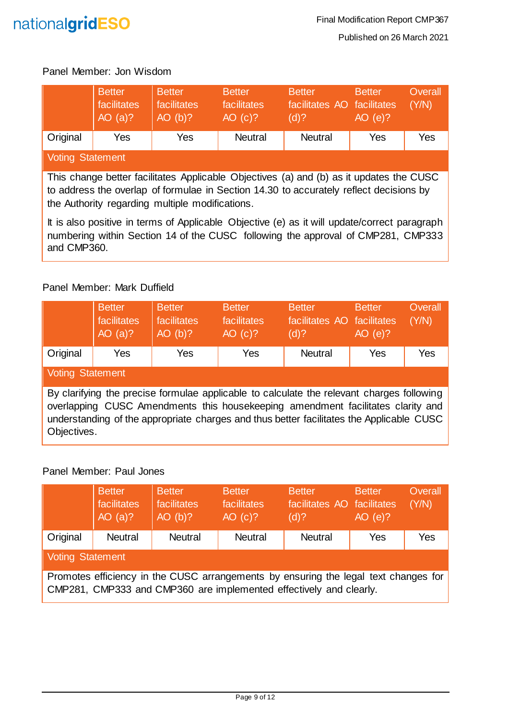

#### Panel Member: Jon Wisdom

|                  | <b>Better</b><br>facilitates<br>AO(a)? | <b>Better</b><br>facilitates<br>AO(b)? | <b>Better</b><br>facilitates<br>AO (c)? | <b>Better</b><br>facilitates AO facilitates<br>$(d)$ ? | <b>Better</b><br>AO(e)? | Overall<br>(Y/N) |
|------------------|----------------------------------------|----------------------------------------|-----------------------------------------|--------------------------------------------------------|-------------------------|------------------|
| Original         | Yes                                    | Yes                                    | <b>Neutral</b>                          | <b>Neutral</b>                                         | Yes                     | Yes              |
| Voting Statement |                                        |                                        |                                         |                                                        |                         |                  |

This change better facilitates Applicable Objectives (a) and (b) as it updates the CUSC to address the overlap of formulae in Section 14.30 to accurately reflect decisions by the Authority regarding multiple modifications.

It is also positive in terms of Applicable Objective (e) as it will update/correct paragraph numbering within Section 14 of the CUSC following the approval of CMP281, CMP333 and CMP360.

#### Panel Member: Mark Duffield

|                                                                                                                                                                                                                                                                                         | <b>Better</b><br>facilitates<br>AO $(a)?$ | <b>Better</b><br>facilitates<br>AO(b)? | <b>Better</b><br>facilitates<br>AO (c)? | <b>Better</b><br>facilitates AO facilitates<br>(d)? | <b>Better</b><br>AO(e)? | Overall<br>(Y/N) |
|-----------------------------------------------------------------------------------------------------------------------------------------------------------------------------------------------------------------------------------------------------------------------------------------|-------------------------------------------|----------------------------------------|-----------------------------------------|-----------------------------------------------------|-------------------------|------------------|
| Original                                                                                                                                                                                                                                                                                | Yes                                       | Yes                                    | Yes                                     | <b>Neutral</b>                                      | Yes                     | <b>Yes</b>       |
| <b>Voting Statement</b>                                                                                                                                                                                                                                                                 |                                           |                                        |                                         |                                                     |                         |                  |
| By clarifying the precise formulae applicable to calculate the relevant charges following<br>overlapping CUSC Amendments this housekeeping amendment facilitates clarity and<br>understanding of the appropriate charges and thus better facilitates the Applicable CUSC<br>Objectives. |                                           |                                        |                                         |                                                     |                         |                  |

#### Panel Member: Paul Jones

|                                                                                                                                                           | <b>Better</b><br>facilitates<br>AO $(a)?$ | <b>Better</b><br>facilitates<br>AO(b)? | <b>Better</b><br>facilitates<br>AO (c)? | <b>Better</b><br>facilitates AO facilitates<br>$(d)$ ? | <b>Better</b><br>AO(e)? | Overall<br>(Y/N) |
|-----------------------------------------------------------------------------------------------------------------------------------------------------------|-------------------------------------------|----------------------------------------|-----------------------------------------|--------------------------------------------------------|-------------------------|------------------|
| Original                                                                                                                                                  | <b>Neutral</b>                            | <b>Neutral</b>                         | <b>Neutral</b>                          | <b>Neutral</b>                                         | Yes                     | Yes              |
| <b>Voting Statement</b>                                                                                                                                   |                                           |                                        |                                         |                                                        |                         |                  |
| Promotes efficiency in the CUSC arrangements by ensuring the legal text changes for<br>CMP281, CMP333 and CMP360 are implemented effectively and clearly. |                                           |                                        |                                         |                                                        |                         |                  |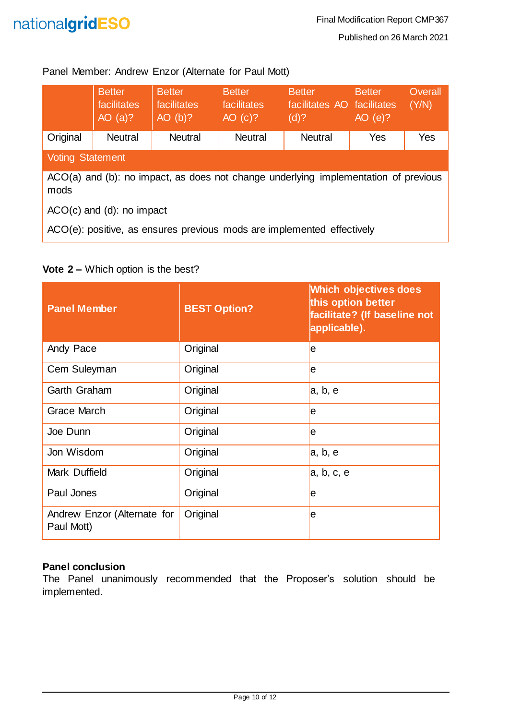

#### Panel Member: Andrew Enzor (Alternate for Paul Mott)

|                                                                                             | <b>Better</b><br>facilitates<br>AO $(a)?$ | <b>Better</b><br>facilitates<br>$AO$ (b)? | <b>Better</b><br>facilitates<br>AO (c)? | <b>Better</b><br>facilitates AO facilitates<br>(d)? | <b>Better</b><br>AO(e)? | Overall<br>(Y/N) |
|---------------------------------------------------------------------------------------------|-------------------------------------------|-------------------------------------------|-----------------------------------------|-----------------------------------------------------|-------------------------|------------------|
| Original                                                                                    | <b>Neutral</b>                            | <b>Neutral</b>                            | <b>Neutral</b>                          | <b>Neutral</b>                                      | Yes                     | Yes              |
| <b>Voting Statement</b>                                                                     |                                           |                                           |                                         |                                                     |                         |                  |
| ACO(a) and (b): no impact, as does not change underlying implementation of previous<br>mods |                                           |                                           |                                         |                                                     |                         |                  |
| $ACO(c)$ and (d): no impact                                                                 |                                           |                                           |                                         |                                                     |                         |                  |
| ACO(e): positive, as ensures previous mods are implemented effectively                      |                                           |                                           |                                         |                                                     |                         |                  |

#### **Vote 2 –** Which option is the best?

| <b>Panel Member</b>                       | <b>BEST Option?</b> | <b>Which objectives does</b><br>this option better<br>facilitate? (If baseline not<br>applicable). |
|-------------------------------------------|---------------------|----------------------------------------------------------------------------------------------------|
| Andy Pace                                 | Original            | le                                                                                                 |
| Cem Suleyman                              | Original            | le                                                                                                 |
| Garth Graham                              | Original            | a, b, e                                                                                            |
| Grace March                               | Original            | le                                                                                                 |
| Joe Dunn                                  | Original            | le                                                                                                 |
| Jon Wisdom                                | Original            | a, b, e                                                                                            |
| Mark Duffield                             | Original            | a, b, c, e                                                                                         |
| Paul Jones                                | Original            | le                                                                                                 |
| Andrew Enzor (Alternate for<br>Paul Mott) | Original            | le                                                                                                 |

#### <span id="page-9-0"></span>**Panel conclusion**

The Panel unanimously recommended that the Proposer's solution should be implemented.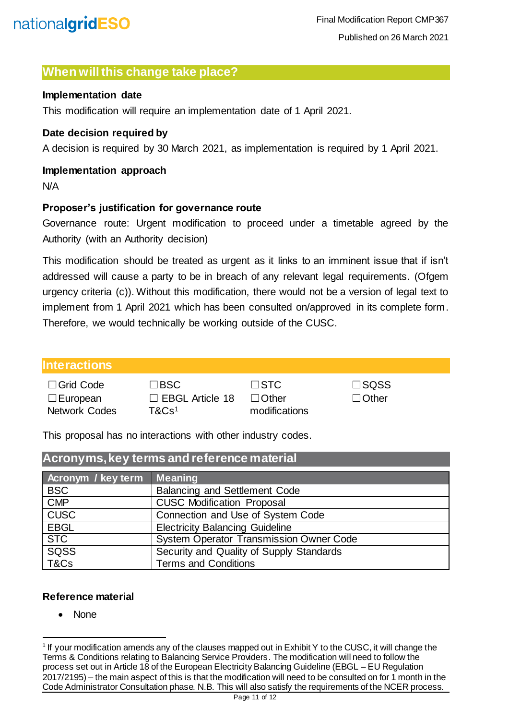#### <span id="page-10-0"></span>**When will this change take place?**

#### <span id="page-10-1"></span>**Implementation date**

This modification will require an implementation date of 1 April 2021.

#### <span id="page-10-2"></span>**Date decision required by**

A decision is required by 30 March 2021, as implementation is required by 1 April 2021.

#### <span id="page-10-3"></span>**Implementation approach**

N/A

#### <span id="page-10-4"></span>**Proposer's justification for governance route**

Governance route: Urgent modification to proceed under a timetable agreed by the Authority (with an Authority decision)

This modification should be treated as urgent as it links to an imminent issue that if isn't addressed will cause a party to be in breach of any relevant legal requirements. (Ofgem urgency criteria (c)). Without this modification, there would not be a version of legal text to implement from 1 April 2021 which has been consulted on/approved in its complete form. Therefore, we would technically be working outside of the CUSC.

#### <span id="page-10-5"></span>**Interactions**

| □ Grid Code          |
|----------------------|
| $\Box$ European      |
| <b>Network Codes</b> |

| $\Box$ Grid Code | $\square$ BSC          | $\Box$ STC    | $\square$ SQSS |
|------------------|------------------------|---------------|----------------|
| $\Box$ European  | $\Box$ EBGL Article 18 | $\Box$ Other  | ∣ ∣Other       |
| Network Codes    | T&Cs <sup>1</sup>      | modifications |                |

This proposal has no interactions with other industry codes.

<span id="page-10-6"></span>

| Acronyms, key terms and reference material |                                                |  |  |
|--------------------------------------------|------------------------------------------------|--|--|
| Acronym / key term                         | <b>Meaning</b>                                 |  |  |
| <b>BSC</b>                                 | <b>Balancing and Settlement Code</b>           |  |  |
| <b>CMP</b>                                 | <b>CUSC Modification Proposal</b>              |  |  |
| <b>CUSC</b>                                | Connection and Use of System Code              |  |  |
| <b>EBGL</b>                                | <b>Electricity Balancing Guideline</b>         |  |  |
| <b>STC</b>                                 | <b>System Operator Transmission Owner Code</b> |  |  |
| SQSS                                       | Security and Quality of Supply Standards       |  |  |
| T&Cs                                       | <b>Terms and Conditions</b>                    |  |  |

#### <span id="page-10-7"></span>**Reference material**

• None

l

<sup>&</sup>lt;sup>1</sup> If your modification amends any of the clauses mapped out in Exhibit Y to the CUSC, it will change the Terms & Conditions relating to Balancing Service Providers. The modification will need to follow the process set out in Article 18 of the European Electricity Balancing Guideline (EBGL – EU Regulation 2017/2195) – the main aspect of this is that the modification will need to be consulted on for 1 month in the Code Administrator Consultation phase. N.B. This will also satisfy the requirements of the NCER process.